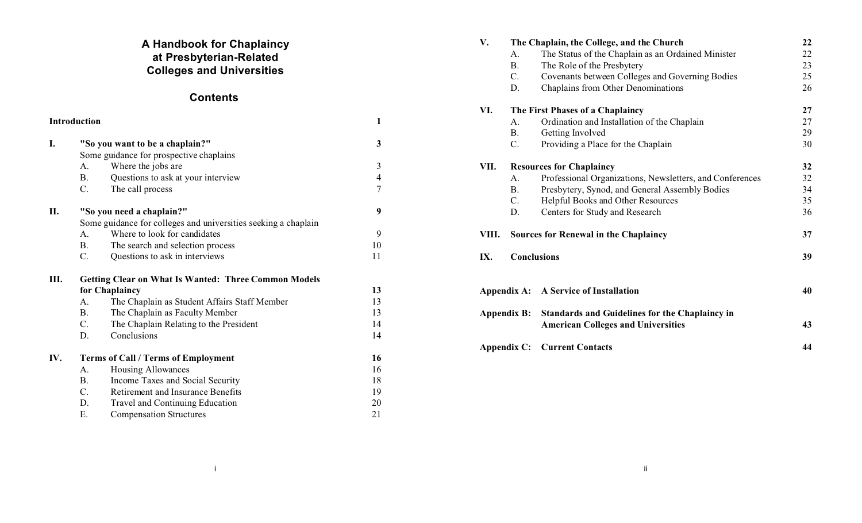# **A Handbook for Chaplaincy at Presbyterian-Related Colleges and Universities**

# **Contents**

| <b>Introduction</b> |                                            |                                                                | 1              |  |
|---------------------|--------------------------------------------|----------------------------------------------------------------|----------------|--|
| I.                  |                                            | "So you want to be a chaplain?"                                | 3              |  |
|                     | Some guidance for prospective chaplains    |                                                                |                |  |
|                     | А.                                         | Where the jobs are                                             | 3              |  |
|                     | <b>B.</b>                                  | Questions to ask at your interview                             | $\overline{4}$ |  |
|                     | C.                                         | The call process                                               | $\overline{7}$ |  |
| II.                 |                                            | "So you need a chaplain?"                                      | 9              |  |
|                     |                                            | Some guidance for colleges and universities seeking a chaplain |                |  |
|                     | A.                                         | Where to look for candidates                                   | 9              |  |
|                     | <b>B.</b>                                  | The search and selection process                               | 10             |  |
|                     | $\mathcal{C}$ .                            | Questions to ask in interviews                                 | 11             |  |
| III.                |                                            | <b>Getting Clear on What Is Wanted: Three Common Models</b>    |                |  |
|                     |                                            | for Chaplaincy                                                 | 13             |  |
|                     | A.                                         | The Chaplain as Student Affairs Staff Member                   | 13             |  |
|                     | $\mathbf{B}$ .                             | The Chaplain as Faculty Member                                 | 13             |  |
|                     | $C_{\cdot}$                                | The Chaplain Relating to the President                         | 14             |  |
|                     | D.                                         | Conclusions                                                    | 14             |  |
| IV.                 | <b>Terms of Call / Terms of Employment</b> |                                                                | 16             |  |
|                     | A.                                         | Housing Allowances                                             | 16             |  |
|                     | <b>B.</b>                                  | Income Taxes and Social Security                               | 18             |  |
|                     | $C$ .                                      | Retirement and Insurance Benefits                              | 19             |  |
|                     | D.                                         | Travel and Continuing Education                                | 20             |  |
|                     | Ε.                                         | <b>Compensation Structures</b>                                 | 21             |  |

| V.          | The Chaplain, the College, and the Church |                                                                                             | 22 |
|-------------|-------------------------------------------|---------------------------------------------------------------------------------------------|----|
|             | А.                                        | The Status of the Chaplain as an Ordained Minister                                          | 22 |
|             | <b>B.</b>                                 | The Role of the Presbytery                                                                  | 23 |
|             | $C_{\cdot}$                               | Covenants between Colleges and Governing Bodies                                             | 25 |
|             | D.                                        | Chaplains from Other Denominations                                                          | 26 |
| VI.         | The First Phases of a Chaplaincy          |                                                                                             | 27 |
|             | A.                                        | Ordination and Installation of the Chaplain                                                 | 27 |
|             | Β.                                        | Getting Involved                                                                            | 29 |
|             | C.                                        | Providing a Place for the Chaplain                                                          | 30 |
| VII.        | <b>Resources for Chaplaincy</b>           |                                                                                             | 32 |
|             | А.                                        | Professional Organizations, Newsletters, and Conferences                                    | 32 |
|             | <b>B.</b>                                 | Presbytery, Synod, and General Assembly Bodies                                              | 34 |
|             | $C_{\cdot}$                               | Helpful Books and Other Resources                                                           | 35 |
|             | D.                                        | Centers for Study and Research                                                              | 36 |
| VIII.       | Sources for Renewal in the Chaplaincy     |                                                                                             | 37 |
| IX.         | <b>Conclusions</b>                        |                                                                                             | 39 |
| Appendix A: |                                           | A Service of Installation                                                                   |    |
| Appendix B: |                                           | Standards and Guidelines for the Chaplaincy in<br><b>American Colleges and Universities</b> | 43 |
| Appendix C: |                                           | <b>Current Contacts</b>                                                                     | 44 |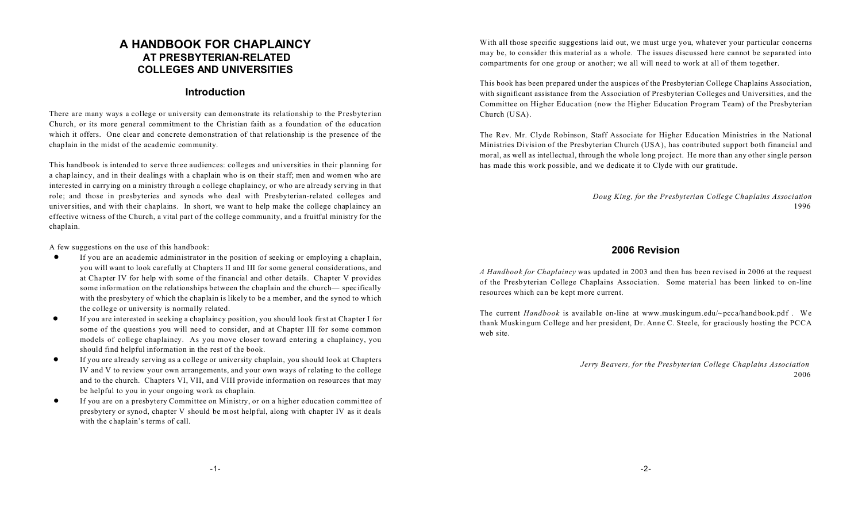# **A HANDBOOK FOR CHAPLAINCY AT PRESBYTERIAN-RELATED COLLEGES AND UNIVERSITIES**

## **Introduction**

There are many ways a college or university can demonstrate its relationship to the Presbyterian Church, or its more general commitment to the Christian faith as a foundation of the education which it offers. One clear and concrete demonstration of that relationship is the presence of the chaplain in the midst of the academic community.

This handbook is intended to serve three audiences: colleges and universities in their planning for a chaplaincy, and in their dealings with a chaplain who is on their staff; men and women who are interested in carrying on a ministry through a college chaplaincy, or who are already serving in that role; and those in presbyteries and synods who deal with Presbyterian-related colleges and universities, and with their chaplains. In short, we want to help make the college chaplaincy an effective witness of the Church, a vital part of the college community, and a fruitful ministry for the chaplain.

A few suggestions on the use of this handbook:

- ! If you are an academic administrator in the position of seeking or employing a chaplain, you will want to look carefully at Chapters II and III for some general considerations, and at Chapter IV for help with some of the financial and other details. Chapter V provides some information on the relationships between the chaplain and the church— specifically with the presbytery of which the chaplain is likely to be a member, and the synod to which the college or university is normally related.
- ! If you are interested in seeking a chaplaincy position, you should look first at Chapter I for some of the questions you will need to consider, and at Chapter III for some common models of college chaplaincy. As you move closer toward entering a chaplaincy, you should find helpful information in the rest of the book.
- ! If you are already serving as a college or university chaplain, you should look at Chapters IV and V to review your own arrangements, and your own ways of relating to the college and to the church. Chapters VI, VII, and VIII provide information on resources that may be helpful to you in your ongoing work as chaplain.
- ! If you are on a presbytery Committee on Ministry, or on a higher education committee of presbytery or synod, chapter V should be most helpful, along with chapter IV as it deals with the chaplain's terms of call.

With all those specific suggestions laid out, we must urge you, whatever your particular concerns may be, to consider this material as a whole. The issues discussed here cannot be separa ted into compartments for one group or another; we all will need to work at all of them together.

This book has been prepared under the auspices of the Presbyterian College Chaplains Association, with significant assistance from the Association of Presbyterian Colleges and Universities, and the Committee on Higher Education (now the Higher Education Program Team) of the Presbyterian Church (USA).

The Rev. Mr. Clyde Robinson, Staff Associate for Higher Education Ministries in the National Ministries Division of the Presbyterian Church (USA), has contributed support both financial and moral, as well as intellectual, through the whole long project. He more than any other single person has made this work possible, and we dedicate it to Clyde with our gratitude.

> *Doug King, for the Presbyterian College Chaplains Association* 1996

# **2006 Revision**

*A Handbook for Chaplaincy* was updated in 2003 and then has been revised in 2006 at the request of the Presbyterian College Chaplains Association. Some material has been linked to on-line resources which can be kept more current.

The current *Handbook* is available on-line at www.muskingum.edu/~pcca/handbook.pdf . We thank Muskingum College and her president, Dr. Anne C. Steele, for graciously hosting the PCCA web site.

> *Jerry Beavers, for the Presbyterian College Chaplains Association* 2006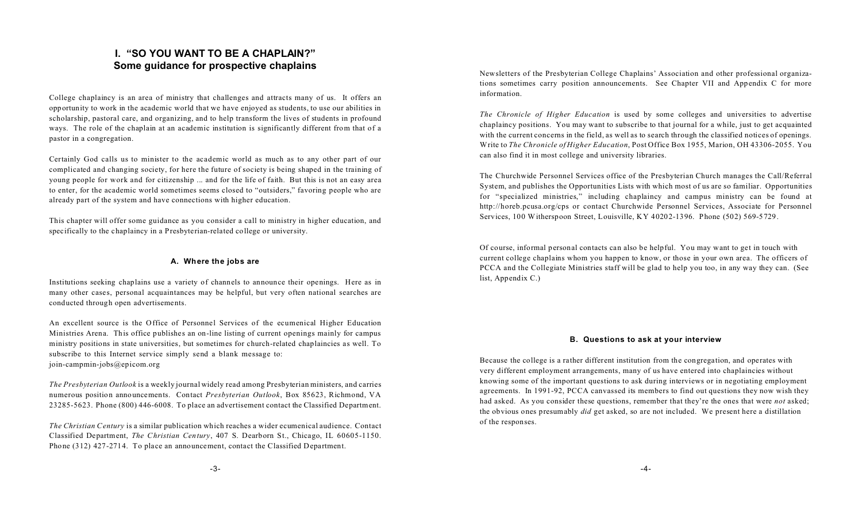# **I. "SO YOU WANT TO BE A CHAPLAIN?" Some guidance for prospective chaplains**

College chaplaincy is an area of ministry that challenges and attracts many of us. It offers an opportunity to work in the academic world that we have enjoyed as students, to use our abilities in scholarship, pastoral care, and organizing, and to help transform the lives of students in profound ways. The role of the chaplain at an academic institution is significantly different from that of a pastor in a congregation.

Certainly God calls us to minister to the academic world as much as to any other part of our complicated and changing society, for here the future of society is being shaped in the training of young people for work and for citizenship ... and for the life of faith. But this is not an easy area to enter, for the academic world sometimes seems closed to "outsiders," favoring people who are already part of the system and have connections with higher education.

This chapter will offer some guidance as you consider a call to ministry in higher education, and specifically to the chaplaincy in a Presbyterian-related college or university.

#### **A. Where the jobs are**

Institutions seeking chaplains use a variety of channels to announce their openings. Here as in many other cases, personal acquaintances may be helpful, but very often national searches are conducted through open advertisements.

An excellent source is the Office of Personnel Services of the ecumenical Higher Education Ministries Arena. This office publishes an on-line listing of current openings mainly for campus ministry positions in state universities, but sometimes for church-related chaplaincies as well. To subscribe to this Internet service simply send a blank message to: join-campmin-jobs@epicom.org

*The Presbyterian Outlook* is a weekly journal widely read among Presbyterian ministers, and carries numerous position announcements. Contact *Presbyterian Outlook*, Box 85623, Richmond, VA 23285-5623. Phone (800) 446-6008. To place an advertisement contact the Classified Department.

*The Christian Century* is a similar publication which reaches a wider ecumenical audience. Contact Classified Department, *The Christian Century*, 407 S. Dearborn St., Chicago, IL 60605-1150. Phone (312) 427-2714. To place an announcement, contact the Classified Department.

Newsletters of the Presbyterian College Chaplains' Association and other professional organizations sometimes carry position announcements. See Chapter VII and Appendix C for more information.

*The Chronicle of Higher Education* is used by some colleges and universities to advertise chaplaincy positions. You may want to subscribe to that journal for a while, just to get acquainted with the current concerns in the field, as well as to search through the classified notices of openings. Write to *The Chronicle of Higher Education*, Post Office Box 1955, Marion, OH 43306-2055. You can also find it in most college and university libraries.

The Churchwide Personnel Services office of the Presbyterian Church manages the Call/Referral System, and publishes the Opportunities Lists with which most of us are so familiar. Opportunities for "specialized ministries," including chaplaincy and campus ministry can be found at http://horeb.pcusa.org/cps or contact Churchwide Personnel Services, Associate for Personnel Services, 100 Witherspoon Street, Louisville, KY 40202-1396. Phone (502) 569-5729.

Of course, informal personal contacts can also be helpful. You may want to get in touch with current college chaplains whom you happen to know, or those in your own area. The officers of PCCA and the Collegiate Ministries staff will be glad to help you too, in any way they can. (See list, Appendix C.)

#### **B. Questions to ask at your interview**

Because the college is a rather different institution from the congregation, and operates with very different employment arrangements, many of us have entered into chaplaincies without knowing some of the important questions to ask during interviews or in negotiating employment agreements. In 1991-92, PCCA canvassed its members to find out questions they now wish they had asked. As you consider these questions, remember that they're the ones that were *not* asked; the obvious ones presumably *did* get asked, so are not included. We present here a distillation of the responses.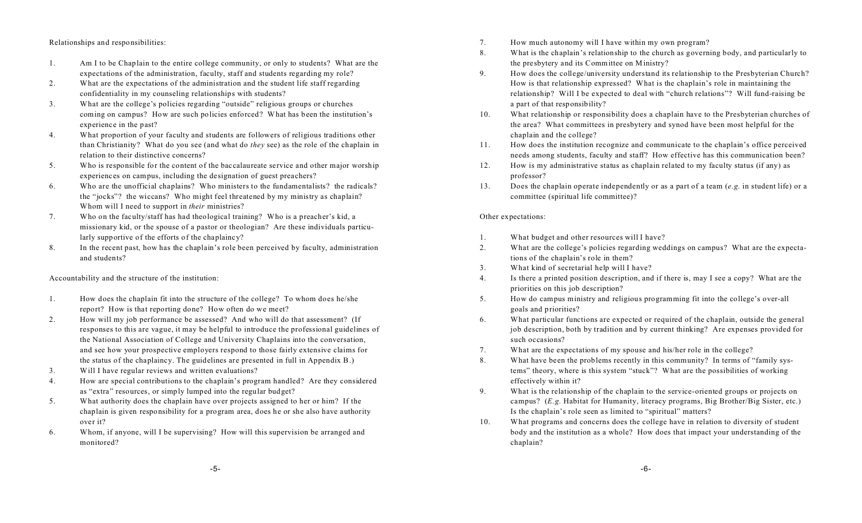#### Relationships and responsibilities:

- 1. Am I to be Chaplain to the entire college community, or only to students? What are the expectations of the administration, faculty, staff and students regarding my role?
- 2. What are the expectations of the administration and the student life staff regarding confidentiality in my counseling relationships with students?
- 3. What are the college's policies regarding "outside" religious groups or churches coming on campus? How are such policies enforced? What has been the institution's experience in the past?
- 4. What proportion of your faculty and students are followers of religious traditions other than Christianity? What do you see (and what do *they* see) as the role of the chaplain in relation to their distinctive concerns?
- 5. Who is responsible for the content of the baccalaureate service and other major worship experiences on campus, including the designation of guest preachers?
- 6. Who are the unofficial chaplains? Who ministers to the fundamentalists? the radicals? the "jocks"? the wiccans? Who might feel threatened by my ministry as chaplain? Whom will I need to support in *their* ministries?
- 7. Who on the faculty/staff has had theological training? Who is a preacher's kid, a missionary kid, or the spouse of a pastor or theologian? Are these individuals particularly supportive of the efforts of the chaplaincy?
- 8. In the recent past, how has the chaplain's role been perceived by faculty, administration and students?

Accountability and the structure of the institution:

- 1. How does the chaplain fit into the structure of the college? To whom does he/she report? How is that reporting done? How often do we meet?
- 2. How will my job performance be assessed? And who will do that assessment? (If responses to this are vague, it may be helpful to introduce the professional guidelines of the National Association of College and University Chaplains into the conversation, and see how your prospective employers respond to those fairly extensive claims for the status of the chaplaincy. The guidelines are presented in full in Appendix B.)
- 3. Will I have regular reviews and written evaluations?
- 4. How are special contributions to the chaplain's program handled? Are they considered as "extra" resources, or simply lumped into the regular budget?
- 5. What authority does the chaplain have over projects assigned to her or him? If the chaplain is given responsibility for a program area, does he or she also have authority over it?
- 6. Whom, if anyone, will I be supervising? How will this supervision be arranged and monitored?
- 7. How much autonomy will I have within my own program?
- 8. What is the chaplain's relationship to the church as governing body, and particularly to the presbytery and its Committee on Ministry?
- 9. How does the college/university understand its relationship to the Presbyterian Church? How is that relationship expressed? What is the chaplain's role in maintaining the relationship? Will I be expected to deal with "church relations"? Will fund-raising be a part of that responsibility?
- 10. What relationship or responsibility does a chaplain have to the Presbyterian churches of the area? What committees in presbytery and synod have been most helpful for the chaplain and the college?
- 11. How does the institution recognize and communicate to the chaplain's office perceived needs among students, faculty and staff? How effective has this communication been?
- 12. How is my administrative status as chaplain related to my faculty status (if any) as professor?
- 13. Does the chaplain operate independently or as a part of a team (*e.g.* in student life) or a committee (spiritual life committee)?

#### Other expectations:

- 1. What budget and other resources will I have?
- 2. What are the college's policies regarding weddings on campus? What are the expectations of the chaplain's role in them?
- 3. What kind of secretarial help will I have?
- 4. Is there a printed position description, and if there is, may I see a copy? What are the priorities on this job description?
- 5. How do campus ministry and religious programming fit into the college's over-all goals and priorities?
- 6. What particular functions are expected or required of the chaplain, outside the general job description, both by tradition and by current thinking? Are expenses provided for such occasions?
- 7. What are the expectations of my spouse and his/her role in the college?
- 8. What have been the problems recently in this community? In terms of "family systems" theory, where is this system "stuck"? What are the possibilities of working effectively within it?
- 9. What is the relationship of the chaplain to the service-oriented groups or projects on campus? (*E.g.* Habitat for Humanity, literacy programs, Big Brother/Big Sister, etc.) Is the chaplain's role seen as limited to "spiritual" matters?
- 10. What programs and concerns does the college have in relation to diversity of student body and the institution as a whole? How does that impact your understanding of the chaplain?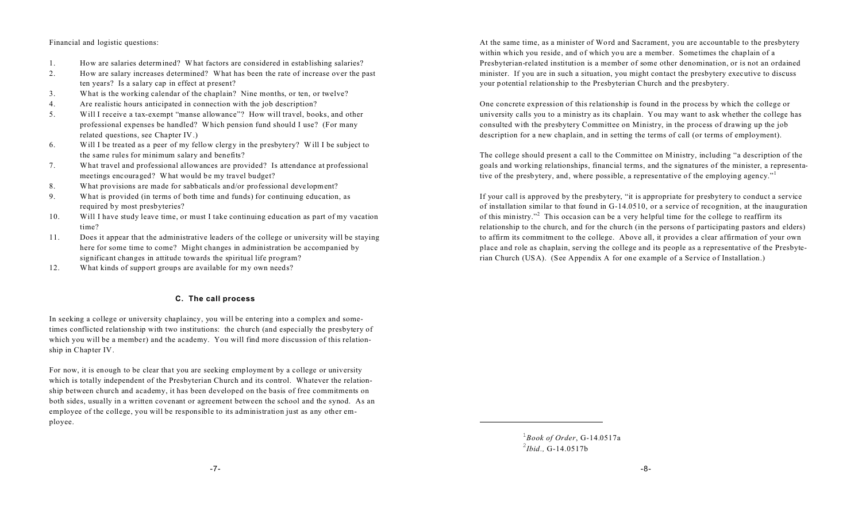#### Financial and logistic questions:

- 1. How are salaries determined? What factors are considered in establishing salaries?
- 2. How are salary increases determined? What has been the rate of increase over the past ten years? Is a salary cap in effect at present?
- 3. What is the working calendar of the chaplain? Nine months, or ten, or twelve?
- 4. Are realistic hours anticipated in connection with the job description?
- 5. Will I receive a tax-exempt "manse allowance"? How will travel, books, and other professional expenses be handled? Which pension fund should I use? (For many related questions, see Chapter IV.)
- 6. Will I be treated as a peer of my fellow clergy in the presbytery? Will I be subject to the same rules for minimum salary and benefits?
- 7. What travel and professional allowances are provided? Is attendance at professional meetings encouraged? What would be my travel budget?
- 8. What provisions are made for sabbaticals and/or professional development?
- 9. What is provided (in terms of both time and funds) for continuing education, as required by most presbyteries?
- 10. Will I have study leave time, or must I take continuing education as part of my vacation time?
- 11. Does it appear that the administrative leaders of the college or university will be staying here for some time to come? Might changes in administration be accompanied by significant changes in attitude towards the spiritual life program?
- 12. What kinds of support groups are available for my own needs?

#### **C. The call process**

In seeking a college or university chaplaincy, you will be entering into a complex and sometimes conflicted relationship with two institutions: the church (and especially the presbytery of which you will be a member) and the academy. You will find more discussion of this relationship in Chapter IV.

For now, it is enough to be clear that you are seeking employment by a college or university which is totally independent of the Presbyterian Church and its control. Whatever the relationship between church and academy, it has been developed on the basis of free commitments on both sides, usually in a written covenant or agreement between the school and the synod. As an employee of the college, you will be responsible to its administration just as any other employee.

At the same time, as a minister of Word and Sacrament, you are accountable to the presbytery within which you reside, and of which you are a member. Sometimes the chaplain of a Presbyterian-related institution is a member of some other denomination, or is not an ordained minister. If you are in such a situation, you might contact the presbytery executive to discuss your potential relationship to the Presbyterian Church and the presbytery.

One concrete expression of this relationship is found in the process by which the college or university calls you to a ministry as its chaplain. You may want to ask whether the college has consulted with the presbytery Committee on Ministry, in the process of drawing up the job description for a new chaplain, and in setting the terms of call (or terms of employment).

The college should present a call to the Committee on Ministry, including "a description of the goals and working relationships, financial terms, and the signatures of the minister, a representative of the presbytery, and, where possible, a representative of the employing agency."

If your call is approved by the presbytery, "it is appropriate for presbytery to conduct a service of installation similar to that found in G-14.0510, or a service of recognition, at the inauguration of this ministry."<sup>2</sup> This occasion can be a very helpful time for the college to reaffirm its relationship to the church, and for the church (in the persons of participating pastors and elders) to affirm its commitment to the college. Above all, it provides a clear affirmation of your own place and role as chaplain, serving the college and its people as a representative of the Presbyterian Church (USA). (See Appendix A for one example of a Service of Installation.)

> 1 *Book of Order*, G-14.0517a 2 *Ibid.,* G-14.0517b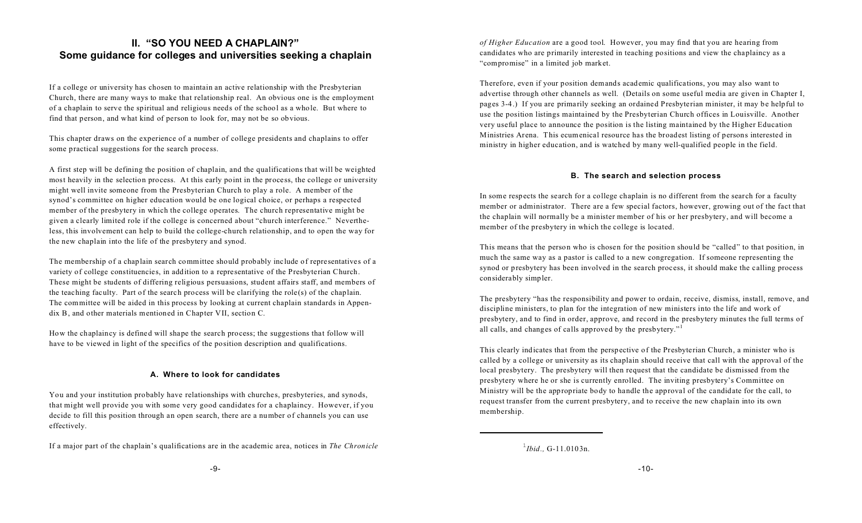# **II. "SO YOU NEED A CHAPLAIN?" Some guidance for colleges and universities seeking a chaplain**

If a college or university has chosen to maintain an active relationship with the Presbyterian Church, there are many ways to make that relationship real. An obvious one is the employment of a chaplain to serve the spiritual and religious needs of the school as a whole. But where to find that person, and what kind of person to look for, may not be so obvious.

This chapter draws on the experience of a number of college presidents and chaplains to offer some practical suggestions for the search process.

A first step will be defining the position of chaplain, and the qualifications that will be weighted most heavily in the selection process. At this early point in the process, the college or university might well invite someone from the Presbyterian Church to play a role. A member of the synod's committee on higher education would be one logical choice, or perhaps a respected member of the presbytery in which the college operates. The church representative might be given a clearly limited role if the college is concerned about "church interference." Nevertheless, this involvement can help to build the college-church relationship, and to open the way for the new chaplain into the life of the presbytery and synod.

The membership of a chaplain search committee should probably include of representatives of a variety of college constituencies, in addition to a representative of the Presbyterian Church. These might be students of differing religious persuasions, student affairs staff, and members of the teaching faculty. Part of the search process will be clarifying the role(s) of the chaplain. The committee will be aided in this process by looking at current chaplain standards in Appendix B, and other materials mentioned in Chapter VII, section C.

How the chaplaincy is defined will shape the search process; the suggestions that follow will have to be viewed in light of the specifics of the position description and qualifications.

### **A. Where to look for candidates**

You and your institution probably have relationships with churches, presbyteries, and synods, that might well provide you with some very good candidates for a chaplaincy. However, if you decide to fill this position through an open search, there are a number of channels you can use effectively.

If a major part of the chaplain's qualifications are in the academic area, notices in *The Chronicle* 1

*of Higher Education* are a good tool. However, you may find that you are hearing from candidates who are primarily interested in teaching positions and view the chaplaincy as a "compromise" in a limited job market.

Therefore, even if your position demands academic qualifications, you may also want to advertise through other channels as well. (Details on some useful media are given in Chapter I, pages 3-4.) If you are primarily seeking an ordained Presbyterian minister, it may be helpful to use the position listings maintained by the Presbyterian Church offices in Louisville. Another very useful place to announce the position is the listing maintained by the Higher Education Ministries Arena. This ecumenical resource has the broadest listing of persons interested in ministry in higher education, and is watched by many well-qualified people in the field.

### **B. The search and selection process**

In some respects the search for a college chaplain is no different from the search for a faculty member or administrator. There are a few special factors, however, growing out of the fact that the chaplain will normally be a minister member of his or her presbytery, and will become a member of the presbytery in which the college is located.

This means that the person who is chosen for the position should be "called" to that position, in much the same way as a pastor is called to a new congregation. If someone representing the synod or presbytery has been involved in the search process, it should make the calling process considerably simpler.

The presbytery "has the responsibility and power to ordain, receive, dismiss, install, remove, and discipline ministers, to plan for the integration of new ministers into the life and work of presbytery, and to find in order, approve, and record in the presbytery minutes the full terms of all calls, and changes of calls approved by the presbytery."<sup>1</sup>

This clearly indicates that from the perspective of the Presbyterian Church, a minister who is called by a college or university as its chaplain should receive that call with the approval of the local presbytery. The presbytery will then request that the candidate be dismissed from the presbytery where he or she is currently enrolled. The inviting presbytery's Committee on Ministry will be the appropriate body to handle the approval of the candidate for the call, to request transfer from the current presbytery, and to receive the new chaplain into its own membership.

*Ibid.,* G-11.0103n.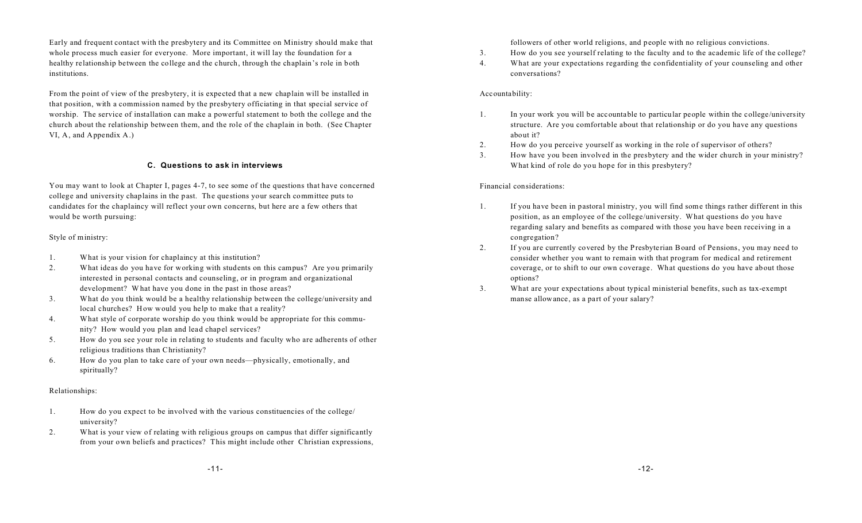Early and frequent contact with the presbytery and its Committee on Ministry should make that whole process much easier for everyone. More important, it will lay the foundation for a healthy relationship between the college and the church, through the chaplain's role in both institutions.

From the point of view of the presbytery, it is expected that a new chaplain will be installed in that position, with a commission named by the presbytery officiating in that special service of worship. The service of installation can make a powerful statement to both the college and the church about the relationship between them, and the role of the chaplain in both. (See Chapter VI, A, and Appendix A.)

#### **C. Questions to ask in interviews**

You may want to look at Chapter I, pages 4-7, to see some of the questions that have concerned college and university chaplains in the past. The questions your search committee puts to candidates for the chaplaincy will reflect your own concerns, but here are a few others that would be worth pursuing:

#### Style of ministry:

- 1. What is your vision for chaplaincy at this institution?
- 2. What ideas do you have for working with students on this campus? Are you primarily interested in personal contacts and counseling, or in program and organizational development? What have you done in the past in those areas?
- 3. What do you think would be a healthy relationship between the college/university and local churches? How would you help to make that a reality?
- 4. What style of corporate worship do you think would be appropriate for this community? How would you plan and lead chapel services?
- 5. How do you see your role in relating to students and faculty who are adherents of other religious traditions than Christianity?
- 6. How do you plan to take care of your own needs—physically, emotionally, and spiritually?

#### Relationships:

- 1. How do you expect to be involved with the various constituencies of the college/ university?
- 2. What is your view of relating with religious groups on campus that differ significantly from your own beliefs and practices? This might include other Christian expressions,

followers of other world religions, and people with no religious convictions.

- 3. How do you see yourself relating to the faculty and to the academic life of the college?
- 4. What are your expectations regarding the confidentiality of your counseling and other conversations?

#### Accountability:

- 1. In your work you will be accountable to particular people within the college/university structure. Are you comfortable about that relationship or do you have any questions about it?
- 2. How do you perceive yourself as working in the role of supervisor of others?
- 3. How have you been involved in the presbytery and the wider church in your ministry? What kind of role do you hope for in this presbytery?

#### Financial considerations:

- 1. If you have been in pastoral ministry, you will find some things rather different in this position, as an employee of the college/university. What questions do you have regarding salary and benefits as compared with those you have been receiving in a congregation?
- 2. If you are currently covered by the Presbyterian Board of Pensions, you may need to consider whether you want to remain with that program for medical and retirement coverage, or to shift to our own coverage. What questions do you have about those options?
- 3. What are your expectations about typical ministerial benefits, such as tax-exempt manse allowance, as a part of your salary?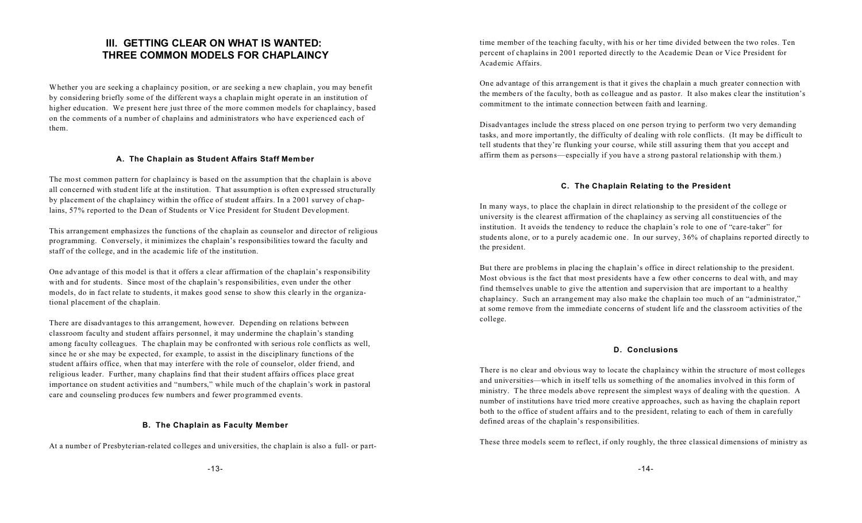## **III. GETTING CLEAR ON WHAT IS WANTED: THREE COMMON MODELS FOR CHAPLAINCY**

Whether you are seeking a chaplaincy position, or are seeking a new chaplain, you may benefit by considering briefly some of the different ways a chaplain might operate in an institution of higher education. We present here just three of the more common models for chaplaincy, based on the comments of a number of chaplains and administrators who have experienced each of them.

#### **A. The Chaplain as Student Affairs Staff Member**

The most common pattern for chaplaincy is based on the assumption that the chaplain is above all concerned with student life at the institution. That assumption is often expressed structurally by placement of the chaplaincy within the office of student affairs. In a 2001 survey of chaplains, 57% reported to the Dean of Students or Vice President for Student Development.

This arrangement emphasizes the functions of the chaplain as counselor and director of religious programming. Conversely, it minimizes the chaplain's responsibilities toward the faculty and staff of the college, and in the academic life of the institution.

One advantage of this model is that it offers a clear affirmation of the chaplain's responsibility with and for students. Since most of the chaplain's responsibilities, even under the other models, do in fact relate to students, it makes good sense to show this clearly in the organizational placement of the chaplain.

There are disadvantages to this arrangement, however. Depending on relations between classroom faculty and student affairs personnel, it may undermine the chaplain's standing among faculty colleagues. The chaplain may be confronted with serious role conflicts as well, since he or she may be expected, for example, to assist in the disciplinary functions of the student affairs office, when that may interfere with the role of counselor, older friend, and religious leader. Further, many chaplains find that their student affairs offices place great importance on student activities and "numbers," while much of the chaplain's work in pastoral care and counseling produces few numbers and fewer programmed events.

#### **B. The Chaplain as Faculty Member**

At a number of Presbyterian-related colleges and universities, the chaplain is also a full- or part-

time member of the teaching faculty, with his or her time divided between the two roles. Ten percent of chaplains in 2001 reported directly to the Academic Dean or Vice President for Academic Affairs.

One advantage of this arrangement is that it gives the chaplain a much greater connection with the members of the faculty, both as colleague and as pastor. It also makes clear the institution's commitment to the intimate connection between faith and learning.

Disadvantages include the stress placed on one person trying to perform two very demanding tasks, and more importantly, the difficulty of dealing with role conflicts. (It may be difficult to tell students that they're flunking your course, while still assuring them that you accept and affirm them as persons—especially if you have a strong pastoral relationship with them.)

#### **C. The Chaplain Relating to the President**

In many ways, to place the chaplain in direct relationship to the president of the college or university is the clearest affirmation of the chaplaincy as serving all constituencies of the institution. It avoids the tendency to reduce the chaplain's role to one of "care-taker" for students alone, or to a purely academic one. In our survey, 36% of chaplains reported directly to the president.

But there are problems in placing the chaplain's office in direct relationship to the president. Most obvious is the fact that most presidents have a few other concerns to deal with, and may find themselves unable to give the attention and supervision that are important to a healthy chaplaincy. Such an arrangement may also make the chaplain too much of an "administrator," at some remove from the immediate concerns of student life and the classroom activities of the college.

#### **D. Conclusions**

There is no clear and obvious way to locate the chaplaincy within the structure of most colleges and universities—which in itself tells us something of the anomalies involved in this form of ministry. The three models above represent the simplest ways of dealing with the question. A number of institutions have tried more creative approaches, such as having the chaplain report both to the office of student affairs and to the president, relating to each of them in carefully defined areas of the chaplain's responsibilities.

These three models seem to reflect, if only roughly, the three classical dimensions of ministry as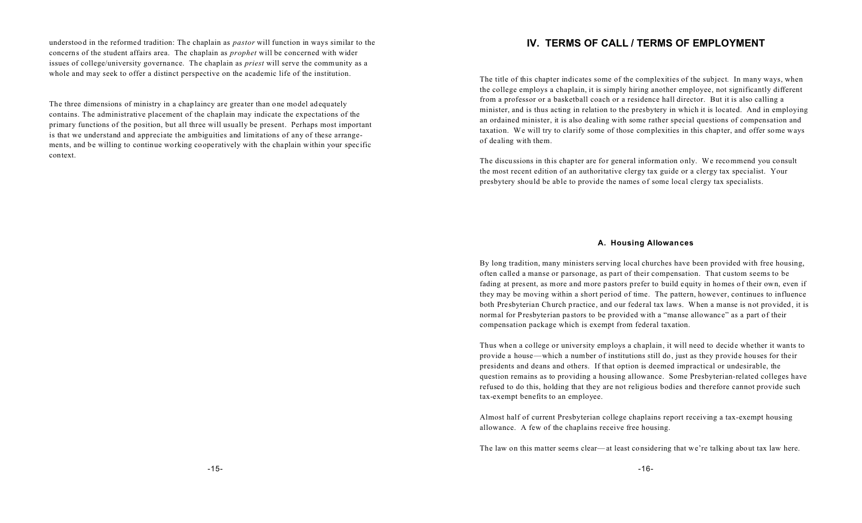understood in the reformed tradition: The chaplain as *pastor* will function in ways similar to the concerns of the student affairs area. The chaplain as *prophet* will be concerned with wider issues of college/university governance. The chaplain as *priest* will serve the community as a whole and may seek to offer a distinct perspective on the academic life of the institution.

The three dimensions of ministry in a chaplaincy are greater than one model adequately contains. The administrative placement of the chaplain may indicate the expectations of the primary functions of the position, but all three will usually be present. Perhaps most important is that we understand and appreciate the ambiguities and limitations of any of these arrangements, and be willing to continue working cooperatively with the chaplain within your specific context.

## **IV. TERMS OF CALL / TERMS OF EMPLOYMENT**

The title of this chapter indicates some of the complexities of the subject. In many ways, when the college employs a chaplain, it is simply hiring another employee, not significantly different from a professor or a basketball coach or a residence hall director. But it is also calling a minister, and is thus acting in relation to the presbytery in which it is located. And in employing an ordained minister, it is also dealing with some rather special questions of compensation and taxation. We will try to clarify some of those complexities in this chapter, and offer some ways of dealing with them.

The discussions in this chapter are for general information only. We recommend you consult the most recent edition of an authoritative clergy tax guide or a clergy tax specialist. Your presbytery should be able to provide the names of some local clergy tax specialists.

#### **A. Housing Allowances**

By long tradition, many ministers serving local churches have been provided with free housing, often called a manse or parsonage, as part of their compensation. That custom seems to be fading at present, as more and more pastors prefer to build equity in homes of their own, even if they may be moving within a short period of time. The pattern, however, continues to influence both Presbyterian Church practice, and our federal tax laws. When a manse is not provided, it is normal for Presbyterian pastors to be provided with a "manse allowance" as a part of their compensation package which is exempt from federal taxation.

Thus when a college or university employs a chaplain, it will need to decide whether it wants to provide a house—which a number of institutions still do, just as they provide houses for their presidents and deans and others. If that option is deemed impractical or undesirable, the question remains as to providing a housing allowance. Some Presbyterian-related colleges have refused to do this, holding that they are not religious bodies and therefore cannot provide such tax-exempt benefits to an employee.

Almost half of current Presbyterian college chaplains report receiving a tax-exempt housing allowance. A few of the chaplains receive free housing.

The law on this matter seems clear—at least considering that we're talking about tax law here.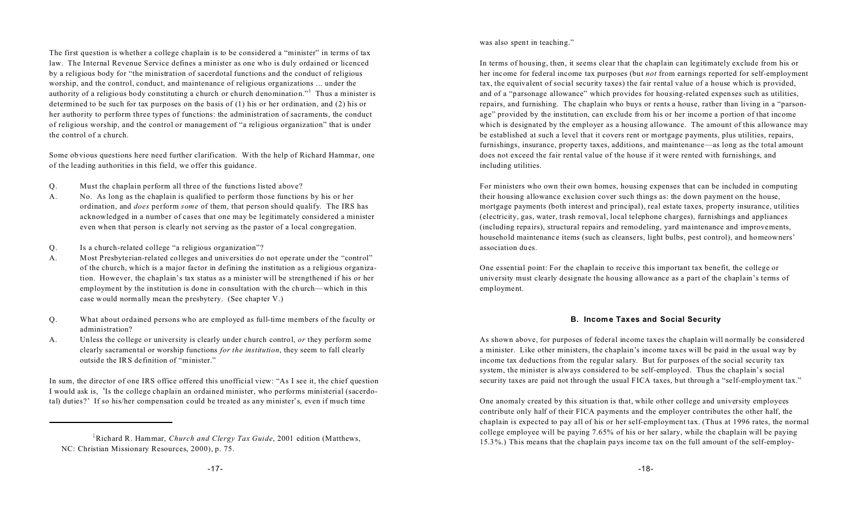The first question is whether a college chaplain is to be considered a "minister" in terms of tax law. The Internal Revenue Service defines a minister as one who is duly ordained or licenced by a religious body for "the ministration of sacerdotal functions and the conduct of religious worship, and the control, conduct, and maintenance of religious organizations ... under the authority of a religious body constituting a church or church denomination."<sup>1</sup> Thus a minister is determined to be such for tax purposes on the basis of (1) his or her ordination, and (2) his or her authority to perform three types of functions: the administration of sacraments, the conduct of religious worship, and the control or management of "a religious organization" that is under the control of a church.

Some obvious questions here need further clarification. With the help of Richard Hammar, one of the leading authorities in this field, we offer this guidance.

- Q. Must the chaplain perform all three of the functions listed above?
- A. No. As long as the chaplain is qualified to perform those functions by his or her ordination, and *does* perform *some* of them, that person should qualify. The IRS has acknowledged in a number of cases that one may be legitimately considered a minister even when that person is clearly not serving as the pastor of a local congregation.
- Q. Is a church-related college "a religious organization"?
- A. Most Presbyterian-related colleges and universities do not operate under the "control" of the church, which is a major factor in defining the institution as a religious organization. However, the chaplain's tax status as a minister will be strengthened if his or her employment by the institution is done in consultation with the church—which in this case would normally mean the presbytery. (See chapter V.)
- Q. What about ordained persons who are employed as full-time members of the faculty or administration?
- A. Unless the college or university is clearly under church control, *or* they perform some clearly sacramental or worship functions *for the institution*, they seem to fall clearly outside the IRS definition of "minister."

In sum, the director of one IRS office offered this unofficial view: "As I see it, the chief question I would ask is, 'Is the college chaplain an ordained minister, who performs ministerial (sacerdotal) duties?' If so his/her compensation could be treated as any minister's, even if much time

was also spent in teaching."

In terms of housing, then, it seems clear that the chaplain can legitimately exclude from his or her income for federal income tax purposes (but *not* from earnings reported for self-employment tax, the equivalent of social security taxes) the fair rental value of a house which is provided, and of a "parsonage allowance" which provides for housing-related expenses such as utilities, repairs, and furnishing. The chaplain who buys or rents a house, rather than living in a "parsonage" provided by the institution, can exclude from his or her income a portion of that income which is designated by the employer as a housing allowance. The amount of this allowance may be established at such a level that it covers rent or mortgage payments, plus utilities, repairs, furnishings, insurance, property taxes, additions, and maintenance—as long as the total amount does not exceed the fair rental value of the house if it were rented with furnishings, and including utilities.

For ministers who own their own homes, housing expenses that can be included in computing their housing allowance exclusion cover such things as: the down payment on the house, mortgage payments (both interest and principal), real estate taxes, property insurance, utilities (electricity, gas, water, trash removal, local telephone charges), furnishings and appliances (including repairs), structural repairs and remodeling, yard maintenance and improvements, household maintenance items (such as cleansers, light bulbs, pest control), and homeowners' association dues.

One essential point: For the chaplain to receive this important tax benefit, the college or university must clearly designate the housing allowance as a part of the chaplain's terms of employment.

#### **B. Income Taxes and Social Security**

As shown above, for purposes of federal income taxes the chaplain will normally be considered a minister. Like other ministers, the chaplain's income taxes will be paid in the usual way by income tax deductions from the regular salary. But for purposes of the social security tax system, the minister is always considered to be self-employed. Thus the chaplain's social security taxes are paid not through the usual FICA taxes, but through a "self-employment tax."

One anomaly created by this situation is that, while other college and university employees contribute only half of their FICA payments and the employer contributes the other half, the chaplain is expected to pay all of his or her self-employment tax. (Thus at 1996 rates, the normal college employee will be paying 7.65% of his or her salary, while the chaplain will be paying 15.3%.) This means that the chaplain pays income tax on the full amount of the self-employ-

<sup>&</sup>lt;sup>1</sup>Richard R. Hammar, *Church and Clergy Tax Guide*, 2001 edition (Matthews, NC: Christian Missionary Resources, 2000), p. 75.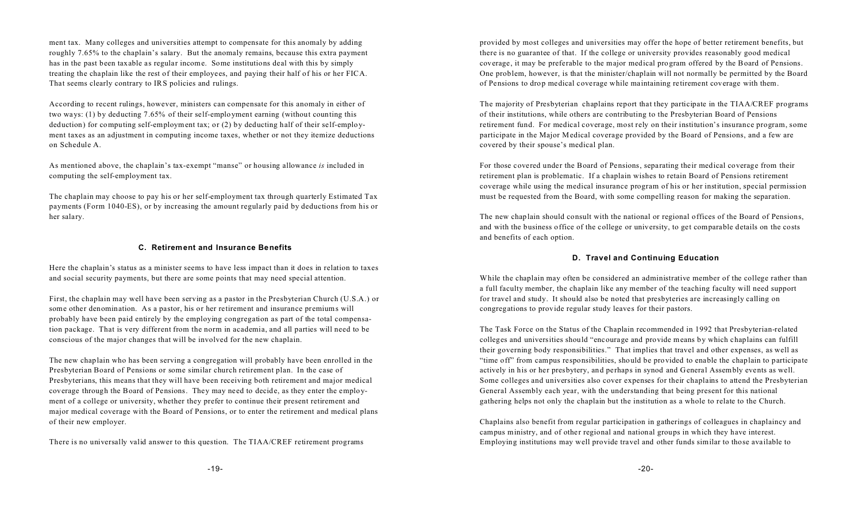ment tax. Many colleges and universities attempt to compensate for this anomaly by adding roughly 7.65% to the chaplain's salary. But the anomaly remains, because this extra payment has in the past been taxable as regular income. Some institutions deal with this by simply treating the chaplain like the rest of their employees, and paying their half of his or her FICA. That seems clearly contrary to IRS policies and rulings.

According to recent rulings, however, ministers can compensate for this anomaly in either of two ways: (1) by deducting 7.65% of their self-employment earning (without counting this deduction) for computing self-employment tax; or (2) by deducting half of their self-employment taxes as an adjustment in computing income taxes, whether or not they itemize deductions on Schedule A.

As mentioned above, the chaplain's tax-exempt "manse" or housing allowance *is* included in computing the self-employment tax.

The chaplain may choose to pay his or her self-employment tax through quarterly Estimated Tax payments (Form 1040-ES), or by increasing the amount regularly paid by deductions from his or her salary.

#### **C. Retirement and Insurance Benefits**

Here the chaplain's status as a minister seems to have less impact than it does in relation to taxes and social security payments, but there are some points that may need special attention.

First, the chaplain may well have been serving as a pastor in the Presbyterian Church (U.S.A.) or some other denomination. As a pastor, his or her retirement and insurance premiums will probably have been paid entirely by the employing congregation as part of the total compensation package. That is very different from the norm in academia, and all parties will need to be conscious of the major changes that will be involved for the new chaplain.

The new chaplain who has been serving a congregation will probably have been enrolled in the Presbyterian Board of Pensions or some similar church retirement plan. In the case of Presbyterians, this means that they will have been receiving both retirement and major medical coverage through the Board of Pensions. They may need to decide, as they enter the employment of a college or university, whether they prefer to continue their present retirement and major medical coverage with the Board of Pensions, or to enter the retirement and medical plans of their new employer.

There is no universally valid answer to this question. The TIAA/CREF retirement programs

provided by most colleges and universities may offer the hope of better retirement benefits, but there is no guarantee of that. If the college or university provides reasonably good medical coverage, it may be preferable to the major medical program offered by the Board of Pensions. One problem, however, is that the minister/chaplain will not normally be permitted by the Board of Pensions to drop medical coverage while maintaining retirement coverage with them.

The majority of Presbyterian chaplains report that they participate in the TIAA/CREF programs of their institutions, while others are contributing to the Presbyterian Board of Pensions retirement fund. For medical coverage, most rely on their institution's insurance program, some participate in the Major Medical coverage provided by the Board of Pensions, and a few are covered by their spouse's medical plan.

For those covered under the Board of Pensions, separating their medical coverage from their retirement plan is problematic. If a chaplain wishes to retain Board of Pensions retirement coverage while using the medical insurance program of his or her institution, special permission must be requested from the Board, with some compelling reason for making the separation.

The new chaplain should consult with the national or regional offices of the Board of Pensions, and with the business office of the college or university, to get comparable details on the costs and benefits of each option.

#### **D. Travel and Continuing Education**

While the chaplain may often be considered an administrative member of the college rather than a full faculty member, the chaplain like any member of the teaching faculty will need support for travel and study. It should also be noted that presbyteries are increasingly calling on congregations to provide regular study leaves for their pastors.

The Task Force on the Status of the Chaplain recommended in 1992 that Presbyterian-related colleges and universities should "encourage and provide means by which chaplains can fulfill their governing body responsibilities." That implies that travel and other expenses, as well as "time off" from campus responsibilities, should be provided to enable the chaplain to participate actively in his or her presbytery, and perhaps in synod and General Assembly events as well. Some colleges and universities also cover expenses for their chaplains to attend the Presbyterian General Assembly each year, with the understanding that being present for this national gathering helps not only the chaplain but the institution as a whole to relate to the Church.

Chaplains also benefit from regular participation in gatherings of colleagues in chaplaincy and campus ministry, and of other regional and national groups in which they have interest. Employing institutions may well provide travel and other funds similar to those available to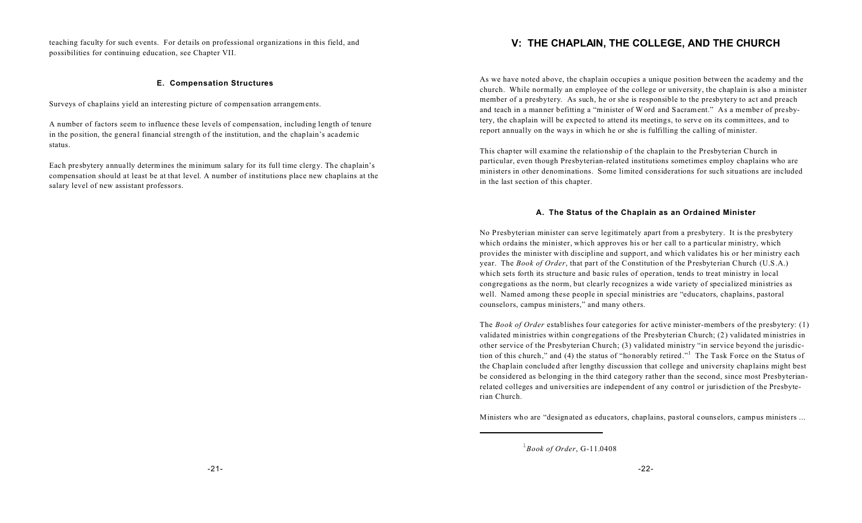teaching faculty for such events. For details on professional organizations in this field, and possibilities for continuing education, see Chapter VII.

#### **E. Compensation Structures**

Surveys of chaplains yield an interesting picture of compensation arrangements.

A number of factors seem to influence these levels of compensation, including length of tenure in the position, the general financial strength of the institution, and the chaplain's academic status.

Each presbytery annually determines the minimum salary for its full time clergy. The chaplain's compensation should at least be at that level. A number of institutions place new chaplains at the salary level of new assistant professors.

## **V: THE CHAPLAIN, THE COLLEGE, AND THE CHURCH**

As we have noted above, the chaplain occupies a unique position between the academy and the church. While normally an employee of the college or university, the chaplain is also a minister member of a presbytery. As such, he or she is responsible to the presbytery to act and preach and teach in a manner befitting a "minister of Word and Sacrament." As a member of presbytery, the chaplain will be expected to attend its meetings, to serve on its committees, and to report annually on the ways in which he or she is fulfilling the calling of minister.

This chapter will examine the relationship of the chaplain to the Presbyterian Church in particular, even though Presbyterian-related institutions sometimes employ chaplains who are ministers in other denominations. Some limited considerations for such situations are included in the last section of this chapter.

#### **A. The Status of the Chaplain as an Ordained Minister**

No Presbyterian minister can serve legitimately apart from a presbytery. It is the presbytery which ordains the minister, which approves his or her call to a particular ministry, which provides the minister with discipline and support, and which validates his or her ministry each year. The *Book of Order*, that part of the Constitution of the Presbyterian Church (U.S.A.) which sets forth its structure and basic rules of operation, tends to treat ministry in local congregations as the norm, but clearly recognizes a wide variety of specialized ministries as well. Named among these people in special ministries are "educators, chaplains, pastoral counselors, campus ministers," and many others.

The *Book of Order* establishes four categories for active minister-members of the presbytery: (1) validated ministries within congregations of the Presbyterian Church; (2) validated ministries in other service of the Presbyterian Church; (3) validated ministry "in service beyond the jurisdiction of this church," and (4) the status of "honorably retired."<sup>1</sup> The Task Force on the Status of the Chaplain concluded after lengthy discussion that college and university chaplains might best be considered as belonging in the third category rather than the second, since most Presbyterianrelated colleges and universities are independent of any control or jurisdiction of the Presbyterian Church.

Ministers who are "designated as educators, chaplains, pastoral counselors, campus ministers ...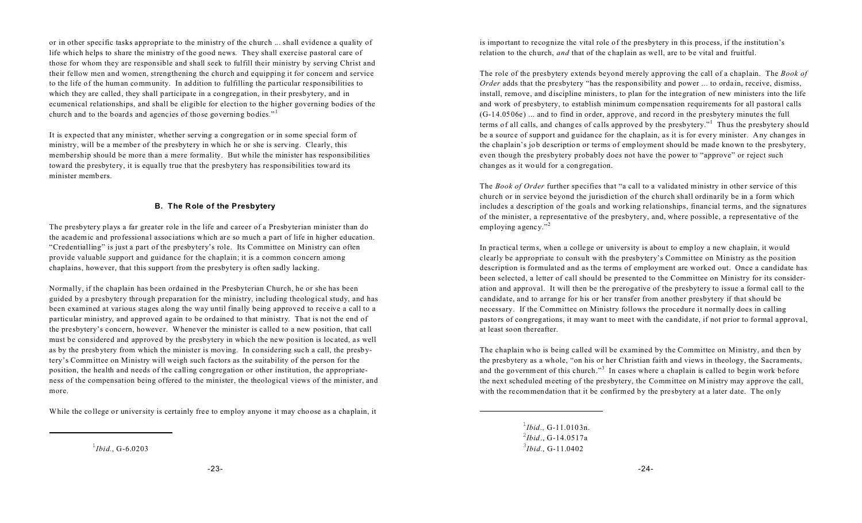or in other specific tasks appropriate to the ministry of the church ... shall evidence a quality of life which helps to share the ministry of the good news. They shall exercise pastoral care of those for whom they are responsible and shall seek to fulfill their ministry by serving Christ and their fellow men and women, strengthening the church and equipping it for concern and service to the life of the human community. In addition to fulfilling the particular responsibilities to which they are called, they shall participate in a congregation, in their presbytery, and in ecumenical relationships, and shall be eligible for election to the higher governing bodies of the church and to the boards and agencies of those governing bodies."<sup>1</sup>

It is expected that any minister, whether serving a congregation or in some special form of ministry, will be a member of the presbytery in which he or she is serving. Clearly, this membership should be more than a mere formality. But while the minister has responsibilities toward the presbytery, it is equally true that the presbytery has responsibilities toward its minister members.

#### **B. The Role of the Presbytery**

The presbytery plays a far greater role in the life and career of a Presbyterian minister than do the academic and professional associations which are so much a part of life in higher education. "Credentialling" is just a part of the presbytery's role. Its Committee on Ministry can often provide valuable support and guidance for the chaplain; it is a common concern among chaplains, however, that this support from the presbytery is often sadly lacking.

Normally, if the chaplain has been ordained in the Presbyterian Church, he or she has been guided by a presbytery through preparation for the ministry, including theological study, and has been examined at various stages along the way until finally being approved to receive a call to a particular ministry, and approved again to be ordained to that ministry. That is not the end of the presbytery's concern, however. Whenever the minister is called to a new position, that call must be considered and approved by the presbytery in which the new position is located, as well as by the presbytery from which the minister is moving. In considering such a call, the presbytery's Committee on Ministry will weigh such factors as the suitability of the person for the position, the health and needs of the calling congregation or other institution, the appropriateness of the compensation being offered to the minister, the theological views of the minister, and more.

While the college or university is certainly free to employ anyone it may choose as a chaplain, it

1 *Ibid.*, G-6.0203

The role of the presbytery extends beyond merely approving the call of a chaplain. The *Book of Order* adds that the presbytery "has the responsibility and power ... to ordain, receive, dismiss, install, remove, and discipline ministers, to plan for the integration of new ministers into the life and work of presbytery, to establish minimum compensation requirements for all pastoral calls  $(G-14.0506e)$  ... and to find in order, approve, and record in the presbytery minutes the full terms of all calls, and changes of calls approved by the presbytery."<sup>1</sup> Thus the presbytery should be a source of support and guidance for the chaplain, as it is for every minister. Any changes in the chaplain's job description or terms of employment should be made known to the presbytery, even though the presbytery probably does not have the power to "approve" or reject such changes as it would for a congregation.

The *Book of Order* further specifies that "a call to a validated ministry in other service of this church or in service beyond the jurisdiction of the church shall ordinarily be in a form which includes a description of the goals and working relationships, financial terms, and the signatures of the minister, a representative of the presbytery, and, where possible, a representative of the employing agency."<sup>2</sup>

In practical terms, when a college or university is about to employ a new chaplain, it would clearly be appropriate to consult with the presbytery's Committee on Ministry as the position description is formulated and as the terms of employment are worked out. Once a candidate has been selected, a letter of call should be presented to the Committee on Ministry for its consideration and approval. It will then be the prerogative of the presbytery to issue a formal call to the candidate, and to arrange for his or her transfer from another presbytery if that should be necessary. If the Committee on Ministry follows the procedure it normally does in calling pastors of congregations, it may want to meet with the candidate, if not prior to formal approval, at least soon thereafter.

The chaplain who is being called will be examined by the Committee on Ministry, and then by the presbytery as a whole, "on his or her Christian faith and views in theology, the Sacraments, and the government of this church."<sup>3</sup> In cases where a chaplain is called to begin work before the next scheduled meeting of the presbytery, the Committee on M inistry may approve the call, with the recommendation that it be confirmed by the presbytery at a later date. The only

> 1 *Ibid.,* G-11.0103n. 2 *Ibid*., G-14.0517a 3 *Ibid.*, G-11.0402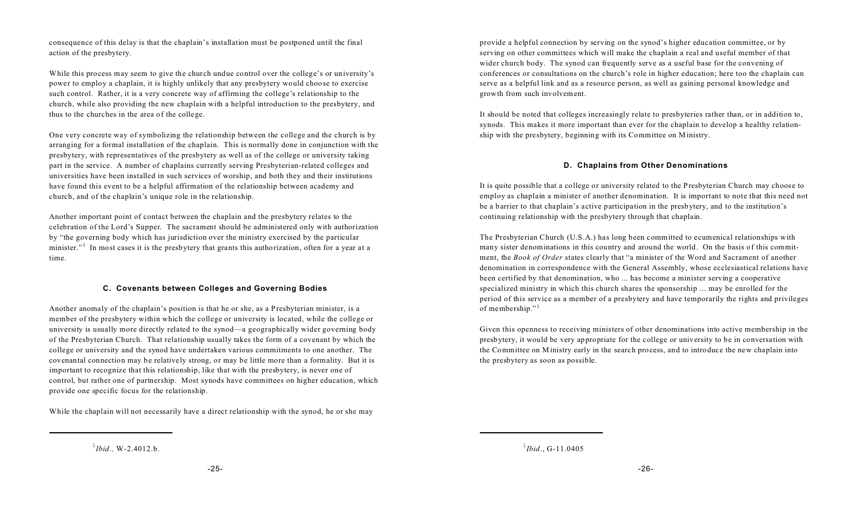consequence of this delay is that the chaplain's installation must be postponed until the final action of the presbytery.

While this process may seem to give the church undue control over the college's or university's power to employ a chaplain, it is highly unlikely that any presbytery would choose to exercise such control. Rather, it is a very concrete way of affirming the college's relationship to the church, while also providing the new chaplain with a helpful introduction to the presbytery, and thus to the churches in the area of the college.

One very concrete way of symbolizing the relationship between the college and the church is by arranging for a formal installation of the chaplain. This is normally done in conjunction with the presbytery, with representatives of the presbytery as well as of the college or university taking part in the service. A number of chaplains currently serving Presbyterian-related colleges and universities have been installed in such services of worship, and both they and their institutions have found this event to be a helpful affirmation of the relationship between academy and church, and of the chaplain's unique role in the relationship.

Another important point of contact between the chaplain and the presbytery relates to the celebration of the Lord's Supper. The sacrament should be administered only with authorization by "the governing body which has jurisdiction over the ministry exercised by the particular minister."<sup>1</sup> In most cases it is the presbytery that grants this authorization, often for a year at a time.

#### **C. Covenants between Colleges and Governing Bodies**

Another anomaly of the chaplain's position is that he or she, as a Presbyterian minister, is a member of the presbytery within which the college or university is located, while the college or university is usually more directly related to the synod—a geographically wider governing body of the Presbyterian Church. That relationship usually takes the form of a covenant by which the college or university and the synod have undertaken various commitments to one another. The covenantal connection may be relatively strong, or may be little more than a formality. But it is important to recognize that this relationship, like that with the presbytery, is never one of control, but rather one of partnership. Most synods have committees on higher education, which provide one specific focus for the relationship.

While the chaplain will not necessarily have a direct relationship with the synod, he or she may

 $^{1}$ *Ibid.*, W-2.4012.b.

provide a helpful connection by serving on the synod's higher education committee, or by serving on other committees which will make the chaplain a real and useful member of that wider church body. The synod can frequently serve as a useful base for the convening of conferences or consultations on the church's role in higher education; here too the chaplain can serve as a helpful link and as a resource person, as well as gaining personal knowledge and growth from such involvement.

It should be noted that colleges increasingly relate to presbyteries rather than, or in addition to, synods. This makes it more important than ever for the chaplain to develop a healthy relationship with the presbytery, beginning with its Committee on M inistry.

#### **D. Chaplains from Other Denominations**

It is quite possible that a college or university related to the Presbyterian Church may choose to employ as chaplain a minister of another denomination. It is important to note that this need not be a barrier to that chaplain's active participation in the presbytery, and to the institution's continuing relationship with the presbytery through that chaplain.

The Presbyterian Church (U.S.A.) has long been committed to ecumenical relationships with many sister denominations in this country and around the world. On the basis of this commitment, the *Book of Order* states clearly that "a minister of the Word and Sacrament of another denomination in correspondence with the General Assembly, whose ecclesiastical relations have been certified by that denomination, who ... has become a minister serving a cooperative specialized ministry in which this church shares the sponsorship ... may be enrolled for the period of this service as a member of a presbytery and have temporarily the rights and privileges of membership."<sup>1</sup>

Given this openness to receiving ministers of other denominations into active membership in the presbytery, it would be very appropriate for the college or university to be in conversation with the Committee on M inistry early in the search process, and to introduce the new chaplain into the presbytery as soon as possible.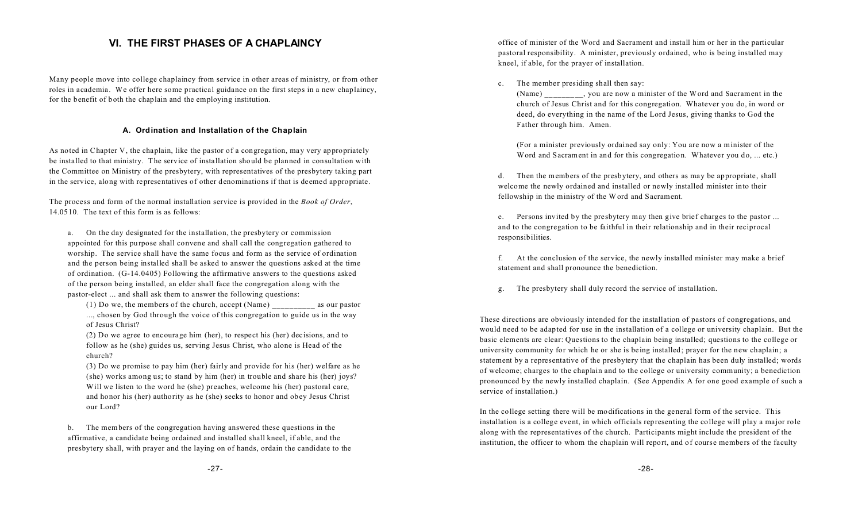## **VI. THE FIRST PHASES OF A CHAPLAINCY**

Many people move into college chaplaincy from service in other areas of ministry, or from other roles in academia. We offer here some practical guidance on the first steps in a new chaplaincy, for the benefit of both the chaplain and the employing institution.

#### **A. Ordination and Installation of the Chaplain**

As noted in Chapter V, the chaplain, like the pastor of a congregation, may very appropriately be installed to that ministry. The service of installation should be planned in consultation with the Committee on Ministry of the presbytery, with representatives of the presbytery taking part in the service, along with representatives of other denominations if that is deemed appropriate.

The process and form of the normal installation service is provided in the *Book of Order*, 14.0510. The text of this form is as follows:

a. On the day designated for the installation, the presbytery or commission appointed for this purpose shall convene and shall call the congregation gathered to worship. The service shall have the same focus and form as the service of ordination and the person being installed shall be asked to answer the questions asked at the time of ordination. (G-14.0405) Following the affirmative answers to the questions asked of the person being installed, an elder shall face the congregation along with the pastor-elect ... and shall ask them to answer the following questions:

(1) Do we, the members of the church, accept (Name) \_\_\_\_\_\_\_\_\_\_ as our pastor ..., chosen by God through the voice of this congregation to guide us in the way of Jesus Christ?

(2) Do we agree to encourage him (her), to respect his (her) decisions, and to follow as he (she) guides us, serving Jesus Christ, who alone is Head of the church?

(3) Do we promise to pay him (her) fairly and provide for his (her) welfare as he (she) works among us; to stand by him (her) in trouble and share his (her) joys? Will we listen to the word he (she) preaches, welcome his (her) pastoral care, and honor his (her) authority as he (she) seeks to honor and obey Jesus Christ our Lord?

b. The members of the congregation having answered these questions in the affirmative, a candidate being ordained and installed shall kneel, if able, and the presbytery shall, with prayer and the laying on of hands, ordain the candidate to the office of minister of the Word and Sacrament and install him or her in the particular pastoral responsibility. A minister, previously ordained, who is being installed may kneel, if able, for the prayer of installation.

c. The member presiding shall then say:

(Name) \_\_\_\_\_\_\_\_\_, you are now a minister of the Word and Sacrament in the church of Jesus Christ and for this congregation. Whatever you do, in word or deed, do everything in the name of the Lord Jesus, giving thanks to God the Father through him. Amen.

(For a minister previously ordained say only: You are now a minister of the Word and Sacrament in and for this congregation. Whatever you do, ... etc.)

d. Then the members of the presbytery, and others as may be appropriate, shall welcome the newly ordained and installed or newly installed minister into their fellowship in the ministry of the Word and Sacrament.

e. Persons invited by the presbytery may then give brief charges to the pastor ... and to the congregation to be faithful in their relationship and in their reciprocal responsibilities.

f. At the conclusion of the service, the newly installed minister may make a brief statement and shall pronounce the benediction.

g. The presbytery shall duly record the service of installation.

These directions are obviously intended for the installation of pastors of congregations, and would need to be adapted for use in the installation of a college or university chaplain. But the basic elements are clear: Questions to the chaplain being installed; questions to the college or university community for which he or she is being installed; prayer for the new chaplain; a statement by a representative of the presbytery that the chaplain has been duly installed; words of welcome; charges to the chaplain and to the college or university community; a benediction pronounced by the newly installed chaplain. (See Appendix A for one good example of such a service of installation.)

In the college setting there will be modifications in the general form of the service. This installation is a college event, in which officials representing the college will play a major role along with the representatives of the church. Participants might include the president of the institution, the officer to whom the chaplain will report, and of course members of the faculty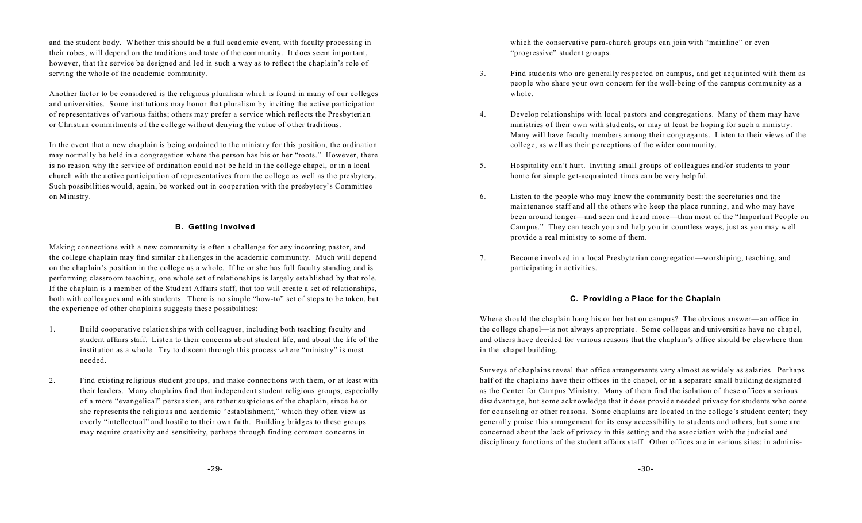and the student body. Whether this should be a full academic event, with faculty processing in their robes, will depend on the traditions and taste of the community. It does seem important, however, that the service be designed and led in such a way as to reflect the chaplain's role of serving the whole of the academic community.

Another factor to be considered is the religious pluralism which is found in many of our colleges and universities. Some institutions may honor that pluralism by inviting the active participation of representatives of various faiths; others may prefer a service which reflects the Presbyterian or Christian commitments of the college without denying the value of other traditions.

In the event that a new chaplain is being ordained to the ministry for this position, the ordination may normally be held in a congregation where the person has his or her "roots." However, there is no reason why the service of ordination could not be held in the college chapel, or in a local church with the active participation of representatives from the college as well as the presbytery. Such possibilities would, again, be worked out in cooperation with the presbytery's Committee on Ministry.

#### **B. Getting Involved**

Making connections with a new community is often a challenge for any incoming pastor, and the college chaplain may find similar challenges in the academic community. Much will depend on the chaplain's position in the college as a whole. If he or she has full faculty standing and is performing classroom teaching, one whole set of relationships is largely established by that role. If the chaplain is a member of the Student Affairs staff, that too will create a set of relationships, both with colleagues and with students. There is no simple "how-to" set of steps to be taken, but the experience of other chaplains suggests these possibilities:

- 1. Build cooperative relationships with colleagues, including both teaching faculty and student affairs staff. Listen to their concerns about student life, and about the life of the institution as a whole. Try to discern through this process where "ministry" is most needed.
- 2. Find existing religious student groups, and make connections with them, or at least with their leaders. Many chaplains find that independent student religious groups, especially of a more "evangelical" persuasion, are rather suspicious of the chaplain, since he or she represents the religious and academic "establishment," which they often view as overly "intellectual" and hostile to their own faith. Building bridges to these groups may require creativity and sensitivity, perhaps through finding common concerns in

which the conservative para-church groups can join with "mainline" or even "progressive" student groups.

- 3. Find students who are generally respected on campus, and get acquainted with them as people who share your own concern for the well-being of the campus community as a whole.
- 4. Develop relationships with local pastors and congregations. Many of them may have ministries of their own with students, or may at least be hoping for such a ministry. Many will have faculty members among their congregants. Listen to their views of the college, as well as their perceptions of the wider community.
- 5. Hospitality can't hurt. Inviting small groups of colleagues and/or students to your home for simple get-acquainted times can be very helpful.
- 6. Listen to the people who may know the community best: the secretaries and the maintenance staff and all the others who keep the place running, and who may have been around longer—and seen and heard more—than most of the "Important People on Campus." They can teach you and help you in countless ways, just as you may well provide a real ministry to some of them.
- 7. Become involved in a local Presbyterian congregation—worshiping, teaching, and participating in activities.

#### **C. Providing a Place for the Chaplain**

Where should the chaplain hang his or her hat on campus? The obvious answer—an office in the college chapel—is not always appropriate. Some colleges and universities have no chapel, and others have decided for various reasons that the chaplain's office should be elsewhere than in the chapel building.

Surveys of chaplains reveal that office arrangements vary almost as widely as salaries. Perhaps half of the chaplains have their offices in the chapel, or in a separate small building designated as the Center for Campus Ministry. Many of them find the isolation of these offices a serious disadvantage, but some acknowledge that it does provide needed privacy for students who come for counseling or other reasons. Some chaplains are located in the college's student center; they generally praise this arrangement for its easy accessibility to students and others, but some are concerned about the lack of privacy in this setting and the association with the judicial and disciplinary functions of the student affairs staff. Other offices are in various sites: in adminis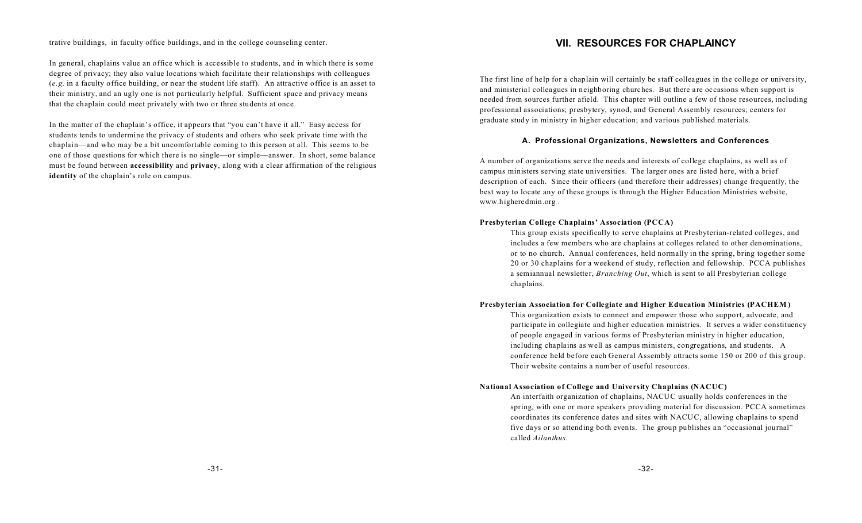trative buildings, in faculty office buildings, and in the college counseling center.

In general, chaplains value an office which is accessible to students, and in which there is some degree of privacy; they also value locations which facilitate their relationships with colleagues (*e.g.* in a faculty office building, or near the student life staff). An attractive office is an asset to their ministry, and an ugly one is not particularly helpful. Sufficient space and privacy means that the chaplain could meet privately with two or three students at once.

In the matter of the chaplain's office, it appears that "you can't have it all." Easy access for students tends to undermine the privacy of students and others who seek private time with the chaplain—and who may be a bit uncomfortable coming to this person at all. This seems to be one of those questions for which there is no single—or simple—answer. In short, some balance must be found between **accessibility** and **privacy**, along with a clear affirmation of the religious **identity** of the chaplain's role on campus.

## **VII. RESOURCES FOR CHAPLAINCY**

The first line of help for a chaplain will certainly be staff colleagues in the college or university, and ministerial colleagues in neighboring churches. But there are occasions when support is needed from sources further afield. This chapter will outline a few of those resources, including professional associations; presbytery, synod, and General Assembly resources; centers for graduate study in ministry in higher education; and various published materials.

#### **A. Professional Organizations, Newsletters and Conferences**

A number of organizations serve the needs and interests of college chaplains, as well as of campus ministers serving state universities. The larger ones are listed here, with a brief description of each. Since their officers (and therefore their addresses) change frequently, the best way to locate any of these groups is through the Higher Education Ministries website, www.higheredmin.org .

#### **Presbyterian College Chaplains' Association (PCCA)**

This group exists specifically to serve chaplains at Presbyterian-related colleges, and includes a few members who are chaplains at colleges related to other denominations, or to no church. Annual conferences, held normally in the spring, bring together some 20 or 30 chaplains for a weekend of study, reflection and fellowship. PCCA publishes a semiannual newsletter, *Branching Out*, which is sent to all Presbyterian college chaplains.

#### **Presbyterian Association for Collegiate and Higher Education Ministries (PACHEM )**

This organization exists to connect and empower those who support, advocate, and participate in collegiate and higher education ministries. It serves a wider constituency of people engaged in various forms of Presbyterian ministry in higher education, including chaplains as well as campus ministers, congregations, and students. A conference held before each General Assembly attracts some 150 or 200 of this group. Their website contains a number of useful resources.

#### **National Association of College and University Chaplains (NACUC)**

An interfaith organization of chaplains, NACUC usually holds conferences in the spring, with one or more speakers providing material for discussion. PCCA sometimes coordinates its conference dates and sites with NACUC, allowing chaplains to spend five days or so attending both events. The group publishes an "occasional journal" called *Ailanthus*.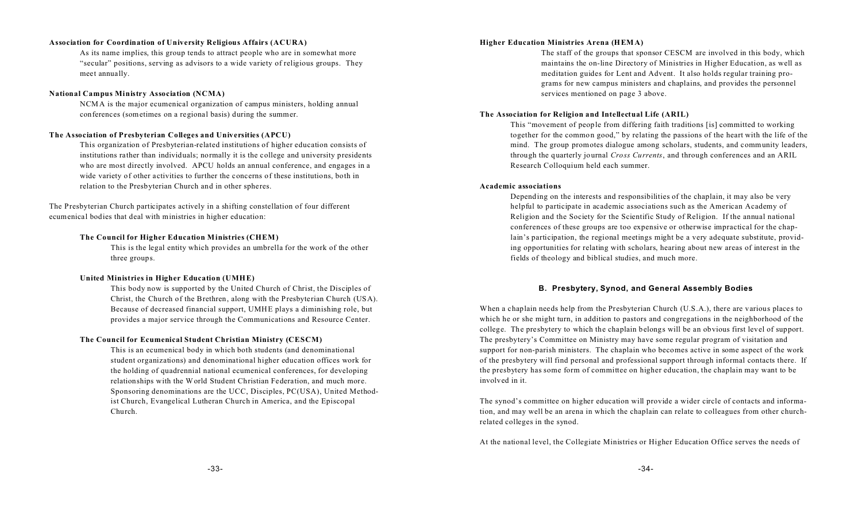#### **Association for Coordination of University Religious Affairs (ACURA)**

As its name implies, this group tends to attract people who are in somewhat more "secular" positions, serving as advisors to a wide variety of religious groups. They meet annually.

#### **National Campus Ministry Association (NCMA)**

NCMA is the major ecumenical organization of campus ministers, holding annual conferences (sometimes on a regional basis) during the summer.

#### **The Association of Presbyterian Colleges and Universities (APCU)**

This organization of Presbyterian-related institutions of higher education consists of institutions rather than individuals; normally it is the college and university presidents who are most directly involved. APCU holds an annual conference, and engages in a wide variety of other activities to further the concerns of these institutions, both in relation to the Presbyterian Church and in other spheres.

The Presbyterian Church participates actively in a shifting constellation of four different ecumenical bodies that deal with ministries in higher education:

#### **The Council for Higher Education Ministries (CHEM)**

This is the legal entity which provides an umbrella for the work of the other three groups.

#### **United Ministries in Higher Education (UMHE)**

This body now is supported by the United Church of Christ, the Disciples of Christ, the Church of the Brethren, along with the Presbyterian Church (USA). Because of decreased financial support, UMHE plays a diminishing role, but provides a major service through the Communications and Resource Center.

#### **The Council for Ecumenical Student Christian Ministry (CESCM)**

This is an ecumenical body in which both students (and denominational student organizations) and denominational higher education offices work for the holding of quadrennial national ecumenical conferences, for developing relationships with the World Student Christian Federation, and much more. Sponsoring denominations are the UCC, Disciples, PC(USA), United Methodist Church, Evangelical Lutheran Church in America, and the Episcopal Church.

#### **Higher Education Ministries Arena (H EM A)**

The staff of the groups that sponsor CESCM are involved in this body, which maintains the on-line Directory of Ministries in Higher Education, as well as meditation guides for Lent and Advent. It also holds regular training programs for new campus ministers and chaplains, and provides the personnel services mentioned on page 3 above.

#### **The Association for Religion and Intellectual Life (ARIL)**

This "movement of people from differing faith traditions [is] committed to working together for the common good," by relating the passions of the heart with the life of the mind. The group promotes dialogue among scholars, students, and community leaders, through the quarterly journal *Cross Currents*, and through conferences and an ARIL Research Colloquium held each summer.

#### **Academic associations**

Depending on the interests and responsibilities of the chaplain, it may also be very helpful to participate in academic associations such as the American Academy of Religion and the Society for the Scientific Study of Religion. If the annual national conferences of these groups are too expensive or otherwise impractical for the chaplain's participation, the regional meetings might be a very adequate substitute, providing opportunities for relating with scholars, hearing about new areas of interest in the fields of theology and biblical studies, and much more.

#### **B. Presbytery, Synod, and General Assembly Bodies**

When a chaplain needs help from the Presbyterian Church (U.S.A.), there are various places to which he or she might turn, in addition to pastors and congregations in the neighborhood of the college. The presbytery to which the chaplain belongs will be an obvious first level of support. The presbytery's Committee on Ministry may have some regular program of visitation and support for non-parish ministers. The chaplain who becomes active in some aspect of the work of the presbytery will find personal and professional support through informal contacts there. If the presbytery has some form of committee on higher education, the chaplain may want to be involved in it.

The synod's committee on higher education will provide a wider circle of contacts and information, and may well be an arena in which the chaplain can relate to colleagues from other churchrelated colleges in the synod.

At the national level, the Collegiate Ministries or Higher Education Office serves the needs of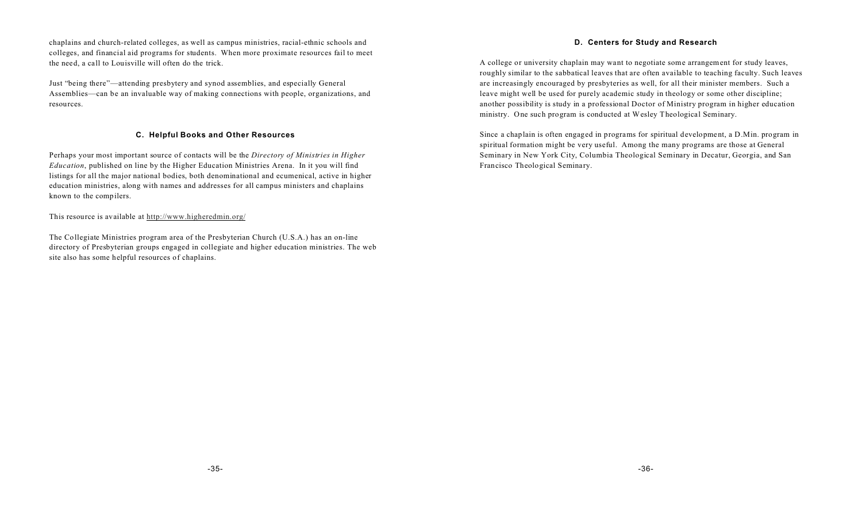chaplains and church-related colleges, as well as campus ministries, racial-ethnic schools and colleges, and financial aid programs for students. When more proximate resources fail to meet the need, a call to Louisville will often do the trick.

Just "being there"—attending presbytery and synod assemblies, and especially General Assemblies—can be an invaluable way of making connections with people, organizations, and resources.

#### **C. Helpful Books and Other Resources**

Perhaps your most important source of contacts will be the *Directory of Ministries in Higher Education*, published on line by the Higher Education Ministries Arena. In it you will find listings for all the major national bodies, both denominational and ecumenical, active in higher education ministries, along with names and addresses for all campus ministers and chaplains known to the compilers.

This resource is available at http://www.higheredmin.org/

The Collegiate Ministries program area of the Presbyterian Church (U.S.A.) has an on-line directory of Presbyterian groups engaged in collegiate and higher education ministries. The web site also has some helpful resources of chaplains.

### **D. Centers for Study and Research**

A college or university chaplain may want to negotiate some arrangement for study leaves, roughly similar to the sabbatical leaves that are often available to teaching faculty. Such leaves are increasingly encouraged by presbyteries as well, for all their minister members. Such a leave might well be used for purely academic study in theology or some other discipline; another possibility is study in a professional Doctor of Ministry program in higher education ministry. One such program is conducted at Wesley Theological Seminary.

Since a chaplain is often engaged in programs for spiritual development, a D.Min. program in spiritual formation might be very useful. Among the many programs are those at General Seminary in New York City, Columbia Theological Seminary in Decatur, Georgia, and San Francisco Theological Seminary.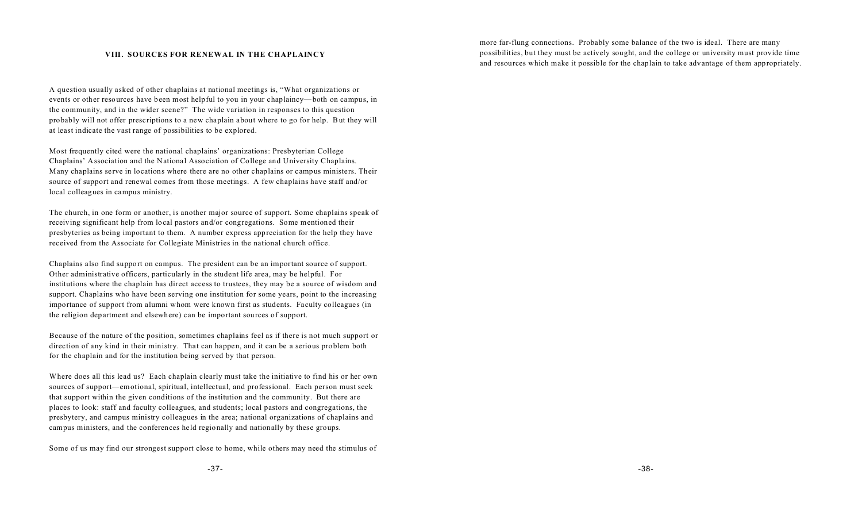#### **VIII. SOURCES FOR RENEWAL IN THE CHAPLAINCY**

A question usually asked of other chaplains at national meetings is, "What organizations or events or other resources have been most helpful to you in your chaplaincy—both on campus, in the community, and in the wider scene?" The wide variation in responses to this question probably will not offer prescriptions to a new chaplain about where to go for help. But they will at least indicate the vast range of possibilities to be explored.

Most frequently cited were the national chaplains' organizations: Presbyterian College Chaplains' Association and the National Association of College and University Chaplains. Many chaplains serve in locations where there are no other chaplains or campus ministers. Their source of support and renewal comes from those meetings. A few chaplains have staff and/or local colleagues in campus ministry.

The church, in one form or another, is another major source of support. Some chaplains speak of receiving significant help from local pastors and/or congregations. Some mentioned their presbyteries as being important to them. A number express appreciation for the help they have received from the Associate for Collegiate Ministries in the national church office.

Chaplains also find support on campus. The president can be an important source of support. Other administrative officers, particularly in the student life area, may be helpful. For institutions where the chaplain has direct access to trustees, they may be a source of wisdom and support. Chaplains who have been serving one institution for some years, point to the increasing importance of support from alumni whom were known first as students. Faculty colleagues (in the religion department and elsewhere) can be important sources of support.

Because of the nature of the position, sometimes chaplains feel as if there is not much support or direction of any kind in their ministry. That can happen, and it can be a serious problem both for the chaplain and for the institution being served by that person.

Where does all this lead us? Each chaplain clearly must take the initiative to find his or her own sources of support—emotional, spiritual, intellectual, and professional. Each person must seek that support within the given conditions of the institution and the community. But there are places to look: staff and faculty colleagues, and students; local pastors and congregations, the presbytery, and campus ministry colleagues in the area; national organizations of chaplains and campus ministers, and the conferences held regionally and nationally by these groups.

Some of us may find our strongest support close to home, while others may need the stimulus of

more far-flung connections. Probably some balance of the two is ideal. There are many possibilities, but they must be actively sought, and the college or university must provide time and resources which make it possible for the chaplain to take advantage of them appropriately.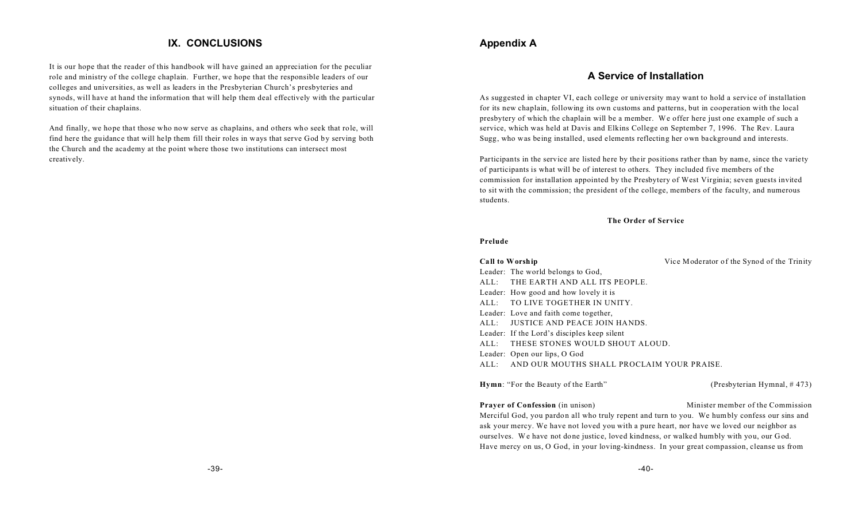# **IX. CONCLUSIONS**

It is our hope that the reader of this handbook will have gained an appreciation for the peculiar role and ministry of the college chaplain. Further, we hope that the responsible leaders of our colleges and universities, as well as leaders in the Presbyterian Church's presbyteries and synods, will have at hand the information that will help them deal effectively with the particular situation of their chaplains.

And finally, we hope that those who now serve as chaplains, and others who seek that role, will find here the guidance that will help them fill their roles in ways that serve God by serving both the Church and the academy at the point where those two institutions can intersect most creatively.

# **Appendix A**

## **A Service of Installation**

As suggested in chapter VI, each college or university may want to hold a service of installation for its new chaplain, following its own customs and patterns, but in cooperation with the local presbytery of which the chaplain will be a member. We offer here just one example of such a service, which was held at Davis and Elkins College on September 7, 1996. The Rev. Laura Sugg, who was being installed, used elements reflecting her own background and interests.

Participants in the service are listed here by their positions rather than by name, since the variety of participants is what will be of interest to others. They included five members of the commission for installation appointed by the Presbytery of West Virginia; seven guests invited to sit with the commission; the president of the college, members of the faculty, and numerous students.

#### **The Order of Service**

#### **Prelude**

| Call to Worship                                 | Vice Moderator of the Synod of the Trinity |
|-------------------------------------------------|--------------------------------------------|
| Leader: The world belongs to God,               |                                            |
| ALL: THE EARTH AND ALL ITS PEOPLE.              |                                            |
| Leader: How good and how lovely it is           |                                            |
| ALL: TO LIVE TOGETHER IN UNITY.                 |                                            |
| Leader: Love and faith come together,           |                                            |
| ALL: JUSTICE AND PEACE JOIN HANDS.              |                                            |
| Leader: If the Lord's disciples keep silent     |                                            |
| ALL: THESE STONES WOULD SHOUT ALOUD.            |                                            |
| Leader: Open our lips, O God                    |                                            |
| ALL: AND OUR MOUTHS SHALL PROCLAIM YOUR PRAISE. |                                            |
|                                                 |                                            |

**Hymn**: "For the Beauty of the Earth" (Presbyterian Hymnal, # 473)

**Prayer of Confession** (in unison) Minister member of the Commission Merciful God, you pardon all who truly repent and turn to you. We humbly confess our sins and ask your mercy. We have not loved you with a pure heart, nor have we loved our neighbor as ourselves. We have not done justice, loved kindness, or walked humbly with you, our God. Have mercy on us, O God, in your loving-kindness. In your great compassion, cleanse us from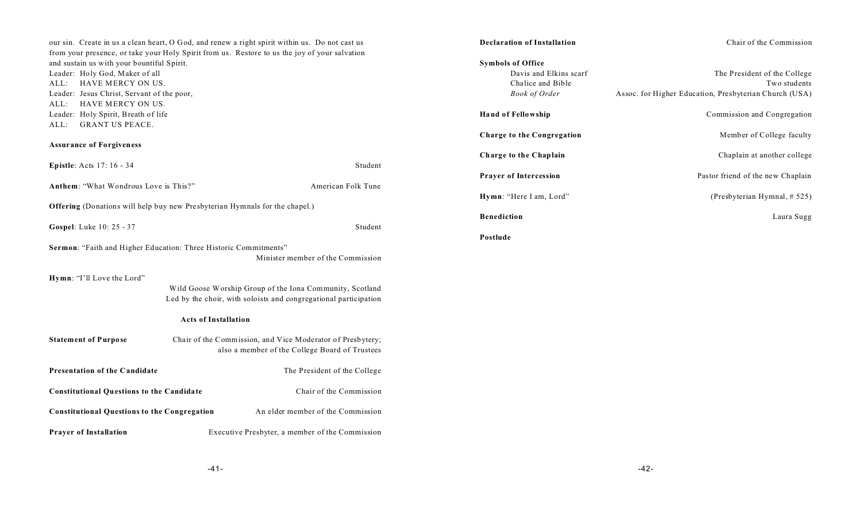our sin. Create in us a clean heart, O God, and renew a right spirit within us. Do not cast us from your presence, or take your Holy Spirit from us. Restore to us the joy of your salvation and sustain us with your bountiful Spirit. Leader: Holy God, Maker of all ALL: HAVE MERCY ON US. Leader: Jesus Christ, Servant of the poor, ALL: HAVE MERCY ON US. Leader: Holy Spirit, Breath of life ALL: GRANT US PEACE.

## **Assurance of Forgiveness**

| <b>Epistle:</b> Acts 17: 16 - 34<br>Student                                                           |                                                                                                                                                             |  |  |  |
|-------------------------------------------------------------------------------------------------------|-------------------------------------------------------------------------------------------------------------------------------------------------------------|--|--|--|
| Anthem: "What Wondrous Love is This?"                                                                 | American Folk Tune                                                                                                                                          |  |  |  |
| <b>Offering</b> (Donations will help buy new Presbyterian Hymnals for the chapel.)                    |                                                                                                                                                             |  |  |  |
| <b>Gospel:</b> Luke 10: 25 - 37<br>Student                                                            |                                                                                                                                                             |  |  |  |
| Sermon: "Faith and Higher Education: Three Historic Commitments"<br>Minister member of the Commission |                                                                                                                                                             |  |  |  |
| Hymn: "I'll Love the Lord"                                                                            | Wild Goose Worship Group of the Iona Community, Scotland<br>Led by the choir, with soloists and congregational participation<br><b>Acts of Installation</b> |  |  |  |
| <b>Statement of Purpose</b>                                                                           | Chair of the Commission, and Vice Moderator of Presbytery;<br>also a member of the College Board of Trustees                                                |  |  |  |
| Presentation of the Candidate                                                                         | The President of the College                                                                                                                                |  |  |  |
| <b>Constitutional Questions to the Candidate</b>                                                      | Chair of the Commission                                                                                                                                     |  |  |  |
| <b>Constitutional Questions to the Congregation</b>                                                   | An elder member of the Commission                                                                                                                           |  |  |  |
| <b>Prayer of Installation</b>                                                                         | Executive Presbyter, a member of the Commission                                                                                                             |  |  |  |

| <b>Declaration of Installation</b> | Chair of the Commission                                |  |
|------------------------------------|--------------------------------------------------------|--|
| <b>Symbols of Office</b>           |                                                        |  |
| Davis and Elkins scarf             | The President of the College                           |  |
| Chalice and Bible                  | Two students                                           |  |
| <b>Book of Order</b>               | Assoc. for Higher Education, Presbyterian Church (USA) |  |
| <b>Hand of Fellowship</b>          | Commission and Congregation                            |  |
| Charge to the Congregation         | Member of College faculty                              |  |
| Charge to the Chaplain             | Chaplain at another college                            |  |
| <b>Prayer of Intercession</b>      | Pastor friend of the new Chaplain                      |  |
| Hymn: "Here I am, Lord"            | (Presbyterian Hymnal, # 525)                           |  |
| <b>Benediction</b>                 | Laura Sugg                                             |  |
| Postlude                           |                                                        |  |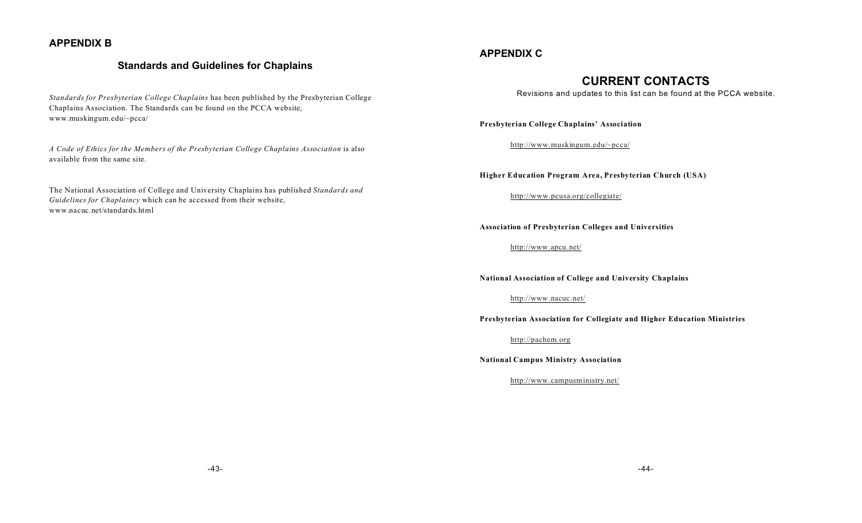# **APPENDIX B**

## **Standards and Guidelines for Chaplains**

*Standards for Presbyterian College Chaplains* has been published by the Presbyterian College Chaplains Association. The Standards can be found on the PCCA website, www.muskingum.edu/~pcca/

*A Code of Ethics for the Members of the Presbyterian College Chaplains Association* is also available from the same site.

The National Association of College and University Chaplains has published *Standards and Guidelines for Chaplaincy* which can be accessed from their website, www.nacuc.net/standards.html

## **APPENDIX C**

# **CURRENT CONTACTS**

Revisions and updates to this list can be found at the PCCA website.

**Presbyterian College Chaplains' Association**

http://www.muskingum.edu/~pcca/

**Higher Education Program Area, Presbyterian Church (USA)**

http://www.pcusa.org/collegiate/

**Association of Presbyterian Colleges and Universities**

http://www.apcu.net/

**National Association of College and University Chaplains**

http://www.nacuc.net/

**Presbyterian Association for Collegiate and Higher Education Ministries**

http://pachem.org

**National Campus Ministry Association**

http://www.campusministry.net/